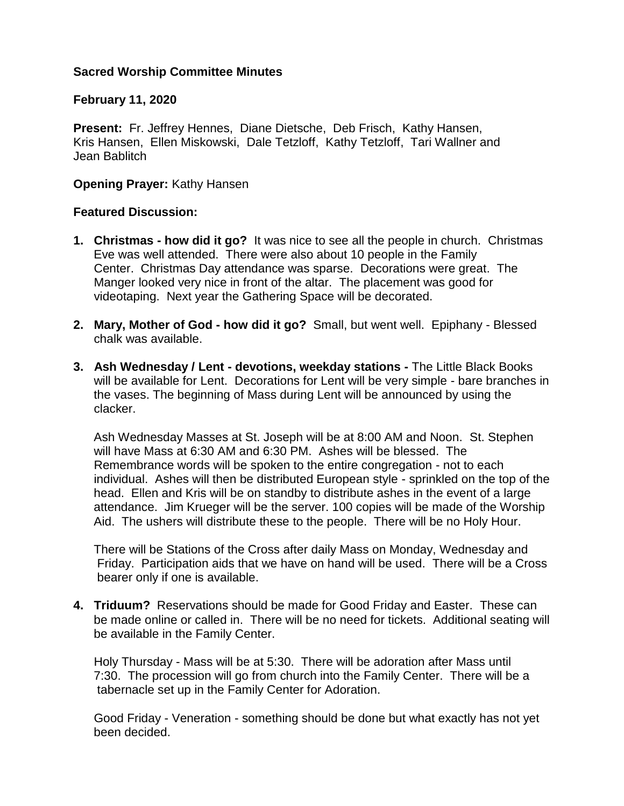## **Sacred Worship Committee Minutes**

## **February 11, 2020**

**Present:** Fr. Jeffrey Hennes, Diane Dietsche, Deb Frisch, Kathy Hansen, Kris Hansen, Ellen Miskowski, Dale Tetzloff, Kathy Tetzloff, Tari Wallner and Jean Bablitch

## **Opening Prayer:** Kathy Hansen

## **Featured Discussion:**

- **1. Christmas - how did it go?** It was nice to see all the people in church. Christmas Eve was well attended. There were also about 10 people in the Family Center. Christmas Day attendance was sparse. Decorations were great. The Manger looked very nice in front of the altar. The placement was good for videotaping. Next year the Gathering Space will be decorated.
- **2. Mary, Mother of God - how did it go?** Small, but went well. Epiphany Blessed chalk was available.
- **3. Ash Wednesday / Lent - devotions, weekday stations -** The Little Black Books will be available for Lent. Decorations for Lent will be very simple - bare branches in the vases. The beginning of Mass during Lent will be announced by using the clacker.

 Ash Wednesday Masses at St. Joseph will be at 8:00 AM and Noon. St. Stephen will have Mass at 6:30 AM and 6:30 PM. Ashes will be blessed. The Remembrance words will be spoken to the entire congregation - not to each individual. Ashes will then be distributed European style - sprinkled on the top of the head. Ellen and Kris will be on standby to distribute ashes in the event of a large attendance. Jim Krueger will be the server. 100 copies will be made of the Worship Aid. The ushers will distribute these to the people. There will be no Holy Hour.

 There will be Stations of the Cross after daily Mass on Monday, Wednesday and Friday. Participation aids that we have on hand will be used. There will be a Cross bearer only if one is available.

**4. Triduum?** Reservations should be made for Good Friday and Easter. These can be made online or called in. There will be no need for tickets. Additional seating will be available in the Family Center.

 Holy Thursday - Mass will be at 5:30. There will be adoration after Mass until 7:30. The procession will go from church into the Family Center. There will be a tabernacle set up in the Family Center for Adoration.

 Good Friday - Veneration - something should be done but what exactly has not yet been decided.